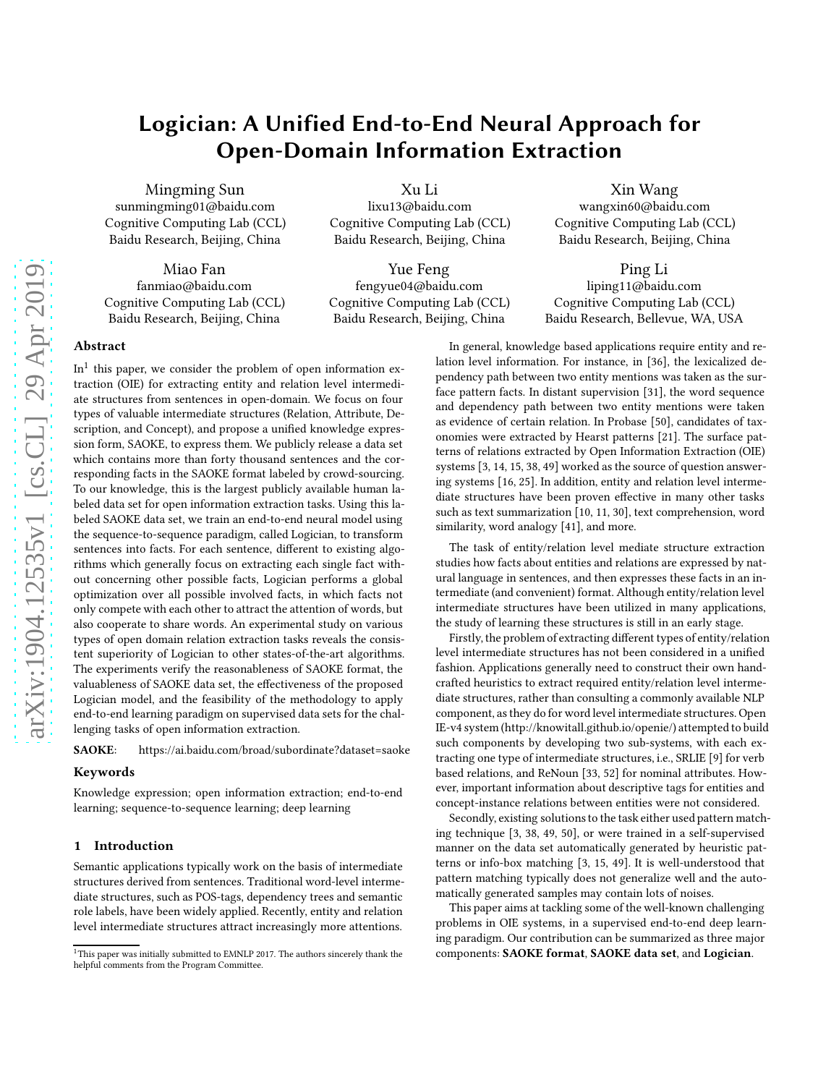# Logician: A Unified End-to-End Neural Approach for Open-Domain Information Extraction

Mingming Sun sunmingming01@baidu.com Cognitive Computing Lab (CCL) Baidu Research, Beijing, China

Miao Fan fanmiao@baidu.com Cognitive Computing Lab (CCL) Baidu Research, Beijing, China

Xu Li

lixu13@baidu.com Cognitive Computing Lab (CCL) Baidu Research, Beijing, China

Yue Feng fengyue04@baidu.com Cognitive Computing Lab (CCL) Baidu Research, Beijing, China

Xin Wang wangxin60@baidu.com Cognitive Computing Lab (CCL) Baidu Research, Beijing, China

Ping Li liping11@baidu.com Cognitive Computing Lab (CCL) Baidu Research, Bellevue, WA, USA

# Abstract

In<sup>[1](#page-0-0)</sup> this paper, we consider the problem of open information extraction (OIE) for extracting entity and relation level intermediate structures from sentences in open-domain. We focus on four types of valuable intermediate structures (Relation, Attribute, Description, and Concept), and propose a unified knowledge expression form, SAOKE, to express them. We publicly release a data set which contains more than forty thousand sentences and the corresponding facts in the SAOKE format labeled by crowd-sourcing. To our knowledge, this is the largest publicly available human labeled data set for open information extraction tasks. Using this labeled SAOKE data set, we train an end-to-end neural model using the sequence-to-sequence paradigm, called Logician, to transform sentences into facts. For each sentence, different to existing algorithms which generally focus on extracting each single fact without concerning other possible facts, Logician performs a global optimization over all possible involved facts, in which facts not only compete with each other to attract the attention of words, but also cooperate to share words. An experimental study on various types of open domain relation extraction tasks reveals the consistent superiority of Logician to other states-of-the-art algorithms. The experiments verify the reasonableness of SAOKE format, the valuableness of SAOKE data set, the effectiveness of the proposed Logician model, and the feasibility of the methodology to apply end-to-end learning paradigm on supervised data sets for the challenging tasks of open information extraction.

SAOKE:<https://ai.baidu.com/broad/subordinate?dataset=saoke>

#### Keywords

Knowledge expression; open information extraction; end-to-end learning; sequence-to-sequence learning; deep learning

## 1 Introduction

Semantic applications typically work on the basis of intermediate structures derived from sentences. Traditional word-level intermediate structures, such as POS-tags, dependency trees and semantic role labels, have been widely applied. Recently, entity and relation level intermediate structures attract increasingly more attentions.

In general, knowledge based applications require entity and relation level information. For instance, in [\[36\]](#page-9-0), the lexicalized dependency path between two entity mentions was taken as the surface pattern facts. In distant supervision [\[31\]](#page-8-0), the word sequence and dependency path between two entity mentions were taken as evidence of certain relation. In Probase [\[50\]](#page-9-1), candidates of taxonomies were extracted by Hearst patterns [\[21\]](#page-8-1). The surface patterns of relations extracted by Open Information Extraction (OIE) systems [\[3](#page-8-2), [14](#page-8-3), [15,](#page-8-4) [38,](#page-9-2) [49\]](#page-9-3) worked as the source of question answering systems [\[16,](#page-8-5) [25](#page-8-6)]. In addition, entity and relation level intermediate structures have been proven effective in many other tasks such as text summarization [\[10,](#page-8-7) [11](#page-8-8), [30\]](#page-8-9), text comprehension, word similarity, word analogy [\[41\]](#page-9-4), and more.

The task of entity/relation level mediate structure extraction studies how facts about entities and relations are expressed by natural language in sentences, and then expresses these facts in an intermediate (and convenient) format. Although entity/relation level intermediate structures have been utilized in many applications, the study of learning these structures is still in an early stage.

Firstly, the problem of extracting different types of entity/relation level intermediate structures has not been considered in a unified fashion. Applications generally need to construct their own handcrafted heuristics to extract required entity/relation level intermediate structures, rather than consulting a commonly available NLP component, as they do for word level intermediate structures. Open IE-v4 system (http://knowitall.github.io/openie/) attempted to build such components by developing two sub-systems, with each extracting one type of intermediate structures, i.e., SRLIE [\[9\]](#page-8-10) for verb based relations, and ReNoun [\[33](#page-9-5), [52\]](#page-9-6) for nominal attributes. However, important information about descriptive tags for entities and concept-instance relations between entities were not considered.

Secondly, existing solutions to the task either used pattern matching technique [\[3,](#page-8-2) [38,](#page-9-2) [49,](#page-9-3) [50\]](#page-9-1), or were trained in a self-supervised manner on the data set automatically generated by heuristic patterns or info-box matching [\[3,](#page-8-2) [15](#page-8-4), [49](#page-9-3)]. It is well-understood that pattern matching typically does not generalize well and the automatically generated samples may contain lots of noises.

This paper aims at tackling some of the well-known challenging problems in OIE systems, in a supervised end-to-end deep learning paradigm. Our contribution can be summarized as three major components: SAOKE format, SAOKE data set, and Logician.

<span id="page-0-0"></span> $^{\rm 1}$  This paper was initially submitted to EMNLP 2017. The authors sincerely thank the helpful comments from the Program Committee.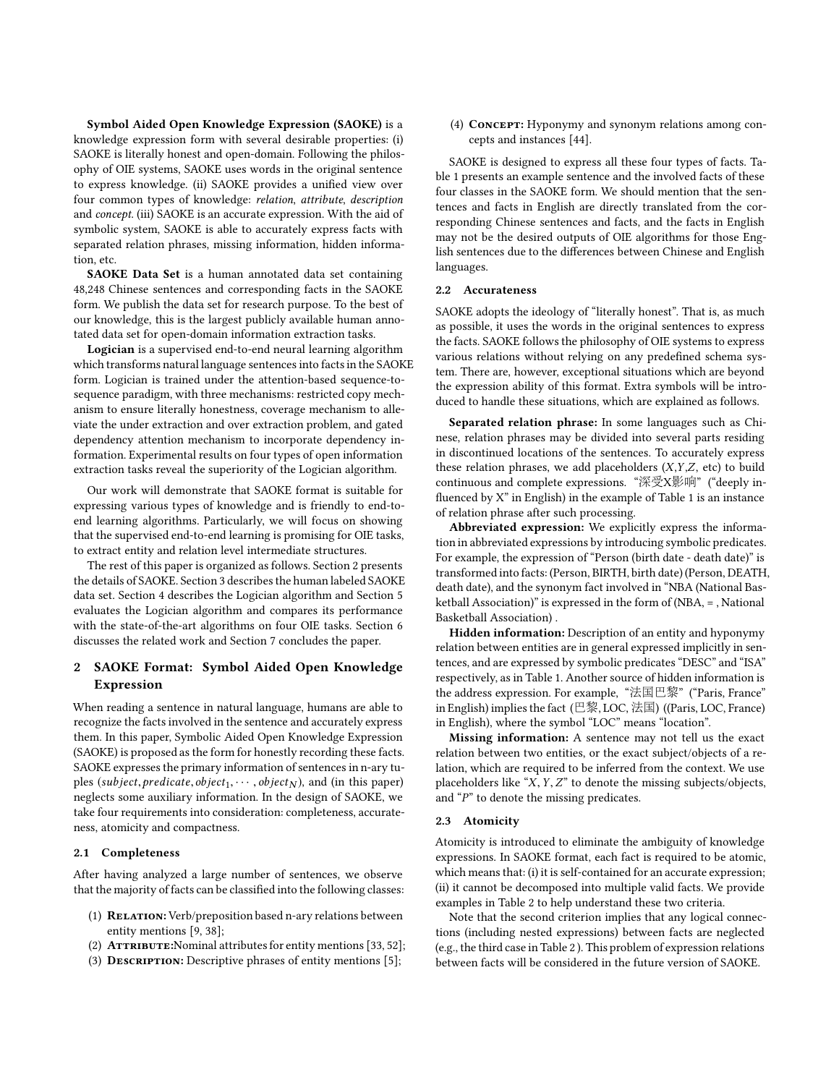Symbol Aided Open Knowledge Expression (SAOKE) is a knowledge expression form with several desirable properties: (i) SAOKE is literally honest and open-domain. Following the philosophy of OIE systems, SAOKE uses words in the original sentence to express knowledge. (ii) SAOKE provides a unified view over four common types of knowledge: *relation*, *attribute*, *description* and *concept*. (iii) SAOKE is an accurate expression. With the aid of symbolic system, SAOKE is able to accurately express facts with separated relation phrases, missing information, hidden information, etc.

SAOKE Data Set is a human annotated data set containing 48,248 Chinese sentences and corresponding facts in the SAOKE form. We publish the data set for research purpose. To the best of our knowledge, this is the largest publicly available human annotated data set for open-domain information extraction tasks.

Logician is a supervised end-to-end neural learning algorithm which transforms natural language sentences into facts in the SAOKE form. Logician is trained under the attention-based sequence-tosequence paradigm, with three mechanisms: restricted copy mechanism to ensure literally honestness, coverage mechanism to alleviate the under extraction and over extraction problem, and gated dependency attention mechanism to incorporate dependency information. Experimental results on four types of open information extraction tasks reveal the superiority of the Logician algorithm.

Our work will demonstrate that SAOKE format is suitable for expressing various types of knowledge and is friendly to end-toend learning algorithms. Particularly, we will focus on showing that the supervised end-to-end learning is promising for OIE tasks, to extract entity and relation level intermediate structures.

The rest of this paper is organized as follows. Section [2](#page-1-0) presents the details of SAOKE. Section [3](#page-2-0) describes the human labeled SAOKE data set. Section [4](#page-3-0) describes the Logician algorithm and Section [5](#page-4-0) evaluates the Logician algorithm and compares its performance with the state-of-the-art algorithms on four OIE tasks. Section [6](#page-6-0) discusses the related work and Section [7](#page-8-11) concludes the paper.

# <span id="page-1-0"></span>2 SAOKE Format: Symbol Aided Open Knowledge Expression

When reading a sentence in natural language, humans are able to recognize the facts involved in the sentence and accurately express them. In this paper, Symbolic Aided Open Knowledge Expression (SAOKE) is proposed as the form for honestly recording these facts. SAOKE expresses the primary information of sentences in n-ary tuples (subject, predicate, object<sub>1</sub>,  $\cdots$ , object<sub>N</sub>), and (in this paper) neglects some auxiliary information. In the design of SAOKE, we take four requirements into consideration: completeness, accurateness, atomicity and compactness.

## <span id="page-1-1"></span>2.1 Completeness

After having analyzed a large number of sentences, we observe that the majority of facts can be classified into the following classes:

- (1) **RELATION:** Verb/preposition based n-ary relations between entity mentions [\[9,](#page-8-10) [38](#page-9-2)];
- (2)  $ATTRIBUTE: Nominal attributes for entity mentions [33, 52];$  $ATTRIBUTE: Nominal attributes for entity mentions [33, 52];$  $ATTRIBUTE: Nominal attributes for entity mentions [33, 52];$  $ATTRIBUTE: Nominal attributes for entity mentions [33, 52];$
- (3) DESCRIPTION: Descriptive phrases of entity mentions [\[5\]](#page-8-12);

(4) CONCEPT: Hyponymy and synonym relations among concepts and instances [\[44\]](#page-9-7).

SAOKE is designed to express all these four types of facts. Table [1](#page-2-1) presents an example sentence and the involved facts of these four classes in the SAOKE form. We should mention that the sentences and facts in English are directly translated from the corresponding Chinese sentences and facts, and the facts in English may not be the desired outputs of OIE algorithms for those English sentences due to the differences between Chinese and English languages.

#### 2.2 Accurateness

SAOKE adopts the ideology of "literally honest". That is, as much as possible, it uses the words in the original sentences to express the facts. SAOKE follows the philosophy of OIE systems to express various relations without relying on any predefined schema system. There are, however, exceptional situations which are beyond the expression ability of this format. Extra symbols will be introduced to handle these situations, which are explained as follows.

Separated relation phrase: In some languages such as Chinese, relation phrases may be divided into several parts residing in discontinued locations of the sentences. To accurately express these relation phrases, we add placeholders  $(X, Y, Z, etc)$  to build continuous and complete expressions. "深受X影响" ("deeply influenced by X" in English) in the example of Table [1](#page-2-1) is an instance of relation phrase after such processing.

Abbreviated expression: We explicitly express the information in abbreviated expressions by introducing symbolic predicates. For example, the expression of "Person (birth date - death date)" is transformed into facts: (Person, BIRTH, birth date) (Person, DEATH, death date), and the synonym fact involved in "NBA (National Basketball Association)" is expressed in the form of (NBA, = , National Basketball Association) .

Hidden information: Description of an entity and hyponymy relation between entities are in general expressed implicitly in sentences, and are expressed by symbolic predicates "DESC" and "ISA" respectively, as in Table [1.](#page-2-1) Another source of hidden information is the address expression. For example, "法国巴黎" ("Paris, France" in English) implies the fact (巴黎, LOC, 法国) ((Paris, LOC, France) in English), where the symbol "LOC" means "location".

Missing information: A sentence may not tell us the exact relation between two entities, or the exact subject/objects of a relation, which are required to be inferred from the context. We use placeholders like " $X, Y, Z$ " to denote the missing subjects/objects, and "P" to denote the missing predicates.

#### 2.3 Atomicity

Atomicity is introduced to eliminate the ambiguity of knowledge expressions. In SAOKE format, each fact is required to be atomic, which means that: (i) it is self-contained for an accurate expression; (ii) it cannot be decomposed into multiple valid facts. We provide examples in Table [2](#page-2-2) to help understand these two criteria.

Note that the second criterion implies that any logical connections (including nested expressions) between facts are neglected (e.g., the third case in Table [2](#page-2-2) ). This problem of expression relations between facts will be considered in the future version of SAOKE.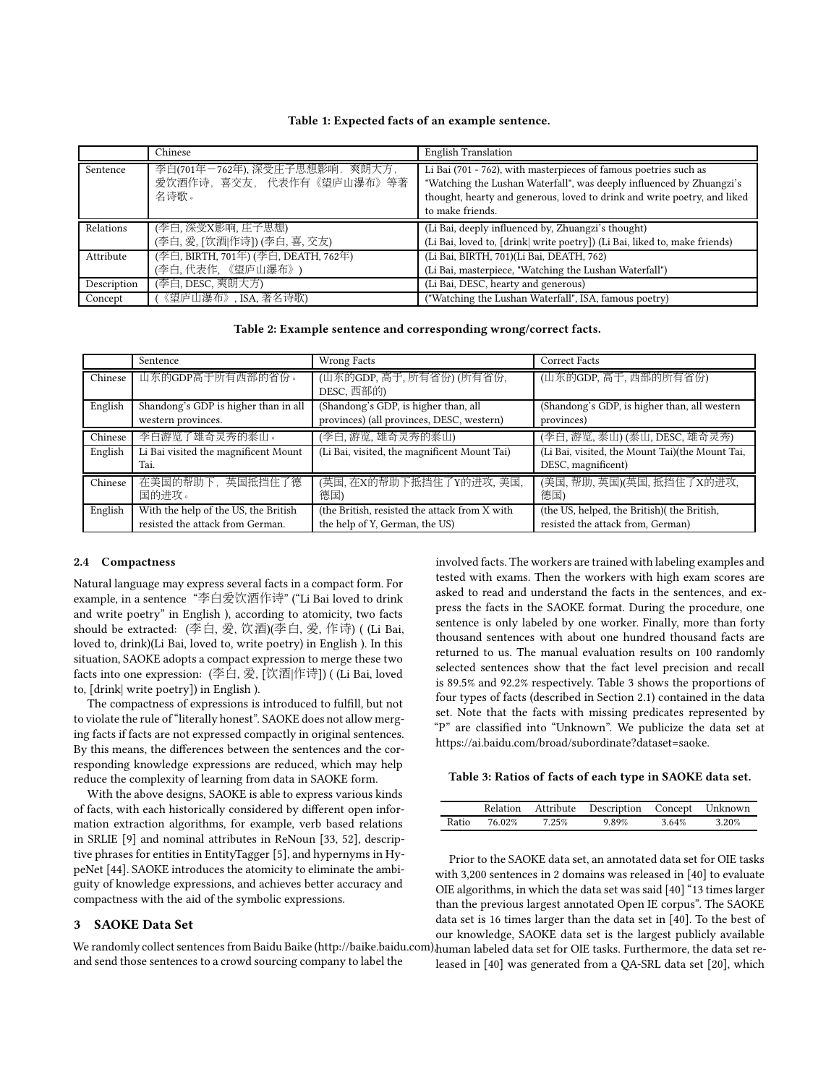<span id="page-2-1"></span>

|             | Chinese                                                            | <b>English Translation</b>                                                                                                                                                                                                               |
|-------------|--------------------------------------------------------------------|------------------------------------------------------------------------------------------------------------------------------------------------------------------------------------------------------------------------------------------|
| Sentence    | 李白(701年-762年), 深受庄子思想影响,爽朗大方,<br>爱饮酒作诗, 喜交友, 代表作有《望庐山瀑布》等著<br>名诗歌。 | Li Bai (701 - 762), with masterpieces of famous poetries such as<br>"Watching the Lushan Waterfall", was deeply influenced by Zhuangzi's<br>thought, hearty and generous, loved to drink and write poetry, and liked<br>to make friends. |
| Relations   | (李白, 深受X影响, 庄子思想)                                                  | (Li Bai, deeply influenced by, Zhuangzi's thought)                                                                                                                                                                                       |
|             | (李白, 爱, [饮酒 作诗]) (李白, 喜, 交友)                                       | (Li Bai, loved to, [drink] write poetry]) (Li Bai, liked to, make friends)                                                                                                                                                               |
| Attribute   | (李白, BIRTH, 701年) (李白, DEATH, 762年)                                | (Li Bai, BIRTH, 701)(Li Bai, DEATH, 762)                                                                                                                                                                                                 |
|             | (李白,代表作,《望庐山瀑布》)                                                   | (Li Bai, masterpiece, "Watching the Lushan Waterfall")                                                                                                                                                                                   |
| Description | (李白, DESC, 爽朗大方)                                                   | (Li Bai, DESC, hearty and generous)                                                                                                                                                                                                      |
| Concept     | 《望庐山瀑布》, ISA, 著名诗歌)                                                | ("Watching the Lushan Waterfall", ISA, famous poetry)                                                                                                                                                                                    |

Table 2: Example sentence and corresponding wrong/correct facts.

<span id="page-2-2"></span>

|         | Sentence                                                                 | <b>Wrong Facts</b>                                                              | <b>Correct Facts</b>                                                            |
|---------|--------------------------------------------------------------------------|---------------------------------------------------------------------------------|---------------------------------------------------------------------------------|
| Chinese | 山东的GDP高于所有西部的省份。                                                         | (山东的GDP, 高于, 所有省份) (所有省份,<br>DESC, 西部的)                                         | (山东的GDP, 高于, 西部的所有省份)                                                           |
| English | Shandong's GDP is higher than in all                                     | (Shandong's GDP, is higher than, all                                            | (Shandong's GDP, is higher than, all western                                    |
|         | western provinces.                                                       | provinces) (all provinces, DESC, western)                                       | provinces)                                                                      |
| Chinese | 李白游览了雄奇灵秀的泰山。                                                            | (李白, 游览, 雄奇灵秀的泰山)                                                               | (李白, 游览, 泰山) (泰山, DESC, 雄奇灵秀)                                                   |
| English | Li Bai visited the magnificent Mount<br>Tai.                             | (Li Bai, visited, the magnificent Mount Tai)                                    | (Li Bai, visited, the Mount Tai)(the Mount Tai,<br>DESC, magnificent)           |
| Chinese | 在美国的帮助下,英国抵挡住了德<br>国的进攻。                                                 | (英国, 在X的帮助下抵挡住了Y的进攻, 美国,<br>德国)                                                 | (美国,帮助,英国)(英国,抵挡住了X的进攻,<br>德国)                                                  |
| English | With the help of the US, the British<br>resisted the attack from German. | (the British, resisted the attack from X with<br>the help of Y, German, the US) | (the US, helped, the British)(the British,<br>resisted the attack from, German) |

## 2.4 Compactness

Natural language may express several facts in a compact form. For example, in a sentence "李白爱饮酒作诗" ("Li Bai loved to drink and write poetry" in English ), according to atomicity, two facts should be extracted: (李白, 爱, 饮酒)(李白, 爱, 作诗) ( (Li Bai, loved to, drink)(Li Bai, loved to, write poetry) in English ). In this situation, SAOKE adopts a compact expression to merge these two facts into one expression: (李白, 爱, [饮酒|作诗]) ( (Li Bai, loved to, [drink| write poetry]) in English ).

The compactness of expressions is introduced to fulfill, but not to violate the rule of "literally honest". SAOKE does not allow merging facts if facts are not expressed compactly in original sentences. By this means, the differences between the sentences and the corresponding knowledge expressions are reduced, which may help reduce the complexity of learning from data in SAOKE form.

With the above designs, SAOKE is able to express various kinds of facts, with each historically considered by different open information extraction algorithms, for example, verb based relations in SRLIE [\[9](#page-8-10)] and nominal attributes in ReNoun [\[33,](#page-9-5) [52](#page-9-6)], descriptive phrases for entities in EntityTagger [\[5](#page-8-12)], and hypernyms in HypeNet [\[44](#page-9-7)]. SAOKE introduces the atomicity to eliminate the ambiguity of knowledge expressions, and achieves better accuracy and compactness with the aid of the symbolic expressions.

## <span id="page-2-0"></span>3 SAOKE Data Set

We randomly collect sentences from Baidu Baike [\(http://baike.baidu.com\)](http://baike.baidu.com), human labeled data set for OIE tasks. Furthermore, the data set reand send those sentences to a crowd sourcing company to label the

involved facts. The workers are trained with labeling examples and tested with exams. Then the workers with high exam scores are asked to read and understand the facts in the sentences, and express the facts in the SAOKE format. During the procedure, one sentence is only labeled by one worker. Finally, more than forty thousand sentences with about one hundred thousand facts are returned to us. The manual evaluation results on 100 randomly selected sentences show that the fact level precision and recall is 89.5% and 92.2% respectively. Table [3](#page-2-3) shows the proportions of four types of facts (described in Section [2.1\)](#page-1-1) contained in the data set. Note that the facts with missing predicates represented by "P" are classified into "Unknown". We publicize the data set at [https://ai.baidu.com/broad/subordinate?dataset=saoke.](https://ai.baidu.com/broad/subordinate?dataset=saoke)

## <span id="page-2-3"></span>Table 3: Ratios of facts of each type in SAOKE data set.

|       |        |          | Relation Attribute Description Concept Unknown |       |       |
|-------|--------|----------|------------------------------------------------|-------|-------|
| Ratio | 76.02% | $7.25\%$ | 9.89%                                          | 3.64% | 3.20% |

Prior to the SAOKE data set, an annotated data set for OIE tasks with 3,200 sentences in 2 domains was released in [\[40\]](#page-9-8) to evaluate OIE algorithms, in which the data set was said [\[40\]](#page-9-8) "13 times larger than the previous largest annotated Open IE corpus". The SAOKE data set is 16 times larger than the data set in [\[40\]](#page-9-8). To the best of our knowledge, SAOKE data set is the largest publicly available leased in [\[40\]](#page-9-8) was generated from a QA-SRL data set [\[20\]](#page-8-13), which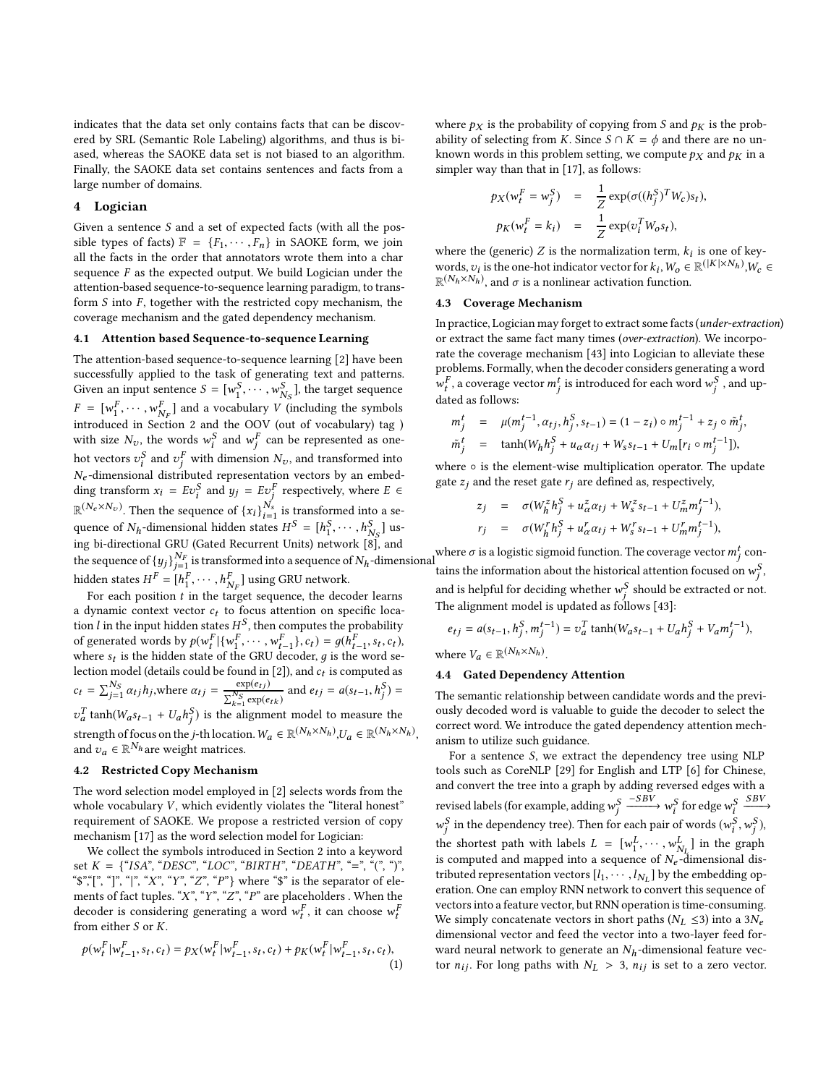indicates that the data set only contains facts that can be discovered by SRL (Semantic Role Labeling) algorithms, and thus is biased, whereas the SAOKE data set is not biased to an algorithm. Finally, the SAOKE data set contains sentences and facts from a large number of domains.

## <span id="page-3-0"></span>4 Logician

Given a sentence S and a set of expected facts (with all the possible types of facts)  $\mathbb{F} = \{F_1, \dots, F_n\}$  in SAOKE form, we join all the facts in the order that annotators wrote them into a char sequence  $F$  as the expected output. We build Logician under the attention-based sequence-to-sequence learning paradigm, to transform  $S$  into  $F$ , together with the restricted copy mechanism, the coverage mechanism and the gated dependency mechanism.

## 4.1 Attention based Sequence-to-sequence Learning

The attention-based sequence-to-sequence learning [\[2\]](#page-8-14) have been successfully applied to the task of generating text and patterns. Given an input sentence  $S = [w_1^S, \cdots, w_{N_S}^S]$ , the target sequence  $F = [w_1^F, \cdots, w_{N_F}^F]$  and a vocabulary V (including the symbols introduced in Section [2](#page-1-0) and the OOV (out of vocabulary) tag ) with size  $N_v$ , the words  $w_i^S$  and  $w_j^F$  can be represented as onehot vectors  $v_i^S$  and  $v_j^F$  with dimension  $N_v$ , and transformed into  $N_e$ -dimensional distributed representation vectors by an embedding transform  $x_i = Ev_i^S$  and  $y_j = Ev_j^F$  respectively, where  $E \in$  $\mathbb{R}^{(N_e \times N_v)}$ . Then the sequence of  $\{x_i\}_{i=1}^{N_s}$  is transformed into a sequence of  $N_h$ -dimensional hidden states  $H^S = [h_1^S, \cdots, h_{N_S}^S]$  using bi-directional GRU (Gated Recurrent Units) network [\[8\]](#page-8-15), and the sequence of  $\{y_j\}_{j=1}^{N_F}$  is transformed into a sequence of  $N_h$ -dimensional hidden states  $H^F = [h_1^F, \cdots, h_{N_F}^F]$  using GRU network.

For each position  $t$  in the target sequence, the decoder learns a dynamic context vector  $c_t$  to focus attention on specific location  $l$  in the input hidden states  $H^{\mathcal{S}},$  then computes the probability of generated words by  $p(w_t^F | \{w_1^F, \dots, w_{t-1}^F\}, c_t) = g(h_{t-1}^F, s_t, c_t)$ , where  $s_t$  is the hidden state of the GRU decoder,  $g$  is the word se-lection model (details could be found in [\[2\]](#page-8-14)), and  $c_t$  is computed as  $c_t = \sum_{j=1}^{N_S} \alpha_{tj} h_j$ , where  $\alpha_{tj} = \frac{\exp(e_{tj})}{\sum_{j=1}^{N_S} \exp(e_{tj})}$  $\frac{\exp(e_{tj})}{\sum_{k=1}^{N_S} \exp(e_{tk})}$  and  $e_{tj} = a(s_{t-1}, h_j^S) =$ 

 $v_a^T \tanh(W_a s_{t-1} + U_a h_j^S)$  is the alignment model to measure the strength of focus on the *j*-th location.  $W_a \in \mathbb{R}^{(N_h \times N_h)}, U_a \in \mathbb{R}^{(N_h \times N_h)},$ and  $v_a \in \mathbb{R}^{N_h}$ are weight matrices.

## 4.2 Restricted Copy Mechanism

The word selection model employed in [\[2\]](#page-8-14) selects words from the whole vocabulary  $V$ , which evidently violates the "literal honest" requirement of SAOKE. We propose a restricted version of copy mechanism [\[17](#page-8-16)] as the word selection model for Logician:

We collect the symbols introduced in Section [2](#page-1-0) into a keyword set  $K = \{$ "ISA", "DESC", "LOC", "BIRTH", "DEATH", "=", "(", ")", " $\mathcal{S}$ ",",",",",",",",",",",",",",","} where " $\mathcal{S}$ " is the separator of elements of fact tuples. "X", "Y", "Z", "P" are placeholders . When the decoder is considering generating a word  $w_t^F$ , it can choose  $w_t^F$ from either S or K.

<span id="page-3-1"></span>
$$
p(w_t^F|w_{t-1}^F, s_t, c_t) = p_X(w_t^F|w_{t-1}^F, s_t, c_t) + p_K(w_t^F|w_{t-1}^F, s_t, c_t),
$$
\n(1)

where  $p<sub>X</sub>$  is the probability of copying from S and  $p<sub>K</sub>$  is the probability of selecting from K. Since  $S \cap K = \phi$  and there are no unknown words in this problem setting, we compute  $p<sub>X</sub>$  and  $p<sub>K</sub>$  in a simpler way than that in [\[17\]](#page-8-16), as follows:

$$
p_X(w_t^F = w_j^S) = \frac{1}{Z} \exp(\sigma((h_j^S)^T W_c) s_t),
$$
  

$$
p_K(w_t^F = k_i) = \frac{1}{Z} \exp(v_i^T W_o s_t),
$$

where the (generic)  $Z$  is the normalization term,  $k_i$  is one of keywords,  $v_i$  is the one-hot indicator vector for  $k_i, W_o \in \mathbb{R}^{(|K| \times N_h)}, W_c \in$  $\mathbb{R}^{(N_h\times N_h)},$  and  $\sigma$  is a nonlinear activation function.

## 4.3 Coverage Mechanism

In practice, Logician may forget to extract some facts (*under-extraction*) or extract the same fact many times (*over-extraction*). We incorporate the coverage mechanism [\[43\]](#page-9-9) into Logician to alleviate these problems. Formally, when the decoder considers generating a word  $\overline{w}_{t}^{F},$  a coverage vector  $m_{j}^{t}$  is introduced for each word  $\overline{w}_{j}^{S}$  , and updated as follows:

$$
m_j^t = \mu(m_j^{t-1}, \alpha_{tj}, h_j^S, s_{t-1}) = (1 - z_i) \circ m_j^{t-1} + z_j \circ \tilde{m}_j^t,
$$
  

$$
\tilde{m}_j^t = \tanh(W_h h_j^S + u_\alpha \alpha_{tj} + W_s s_{t-1} + U_m[r_i \circ m_j^{t-1}]),
$$

where ∘ is the element-wise multiplication operator. The update gate  $z_j$  and the reset gate  $r_j$  are defined as, respectively,

$$
\begin{array}{lll} z_j & = & \sigma(W_h^z h_j^S + u_\alpha^z \alpha_{tj} + W_s^zs_{t-1} + U_m^zm_j^{t-1}), \\[2mm] r_j & = & \sigma(W_h^rh_j^S + u_\alpha^r \alpha_{tj} + W_s^rs_{t-1} + U_m^rm_j^{t-1}), \end{array}
$$

where  $\sigma$  is a logistic sigmoid function. The coverage vector  $m_j^t$  contains the information about the historical attention focused on  $w_j^{\mathcal{S}},$ and is helpful for deciding whether  $w_j^S$  should be extracted or not. The alignment model is updated as follows [\[43\]](#page-9-9):

$$
e_{tj} = a(s_{t-1}, h_j^S, m_j^{t-1}) = v_a^T \tanh(W_a s_{t-1} + U_a h_j^S + V_a m_j^{t-1}),
$$

where  $V_a \in \mathbb{R}^{(N_h \times N_h)}$ .

## 4.4 Gated Dependency Attention

The semantic relationship between candidate words and the previously decoded word is valuable to guide the decoder to select the correct word. We introduce the gated dependency attention mechanism to utilize such guidance.

For a sentence S, we extract the dependency tree using NLP tools such as CoreNLP [\[29\]](#page-8-17) for English and LTP [\[6](#page-8-18)] for Chinese, and convert the tree into a graph by adding reversed edges with a revised labels (for example, adding  $\textit{w}^{\mathcal{S}}_{j}$  $\xrightarrow{-SBV} w_i^S$  for edge  $w_i^S$  $\xrightarrow{SBV}$  $w_j^S$  in the dependency tree). Then for each pair of words  $(w_i^S, w_j^S)$ , the shortest path with labels  $L = [w_1^L, \cdots, w_{N_L}^L]$  in the graph is computed and mapped into a sequence of  $N_e$ -dimensional distributed representation vectors  $[l_1, \cdots, l_{N_L}]$  by the embedding operation. One can employ RNN network to convert this sequence of vectors into a feature vector, but RNN operation is time-consuming. We simply concatenate vectors in short paths ( $N_L \leq 3$ ) into a 3 $N_e$ dimensional vector and feed the vector into a two-layer feed forward neural network to generate an  $N_h$ -dimensional feature vector  $n_{ij}$ . For long paths with  $N_L > 3$ ,  $n_{ij}$  is set to a zero vector.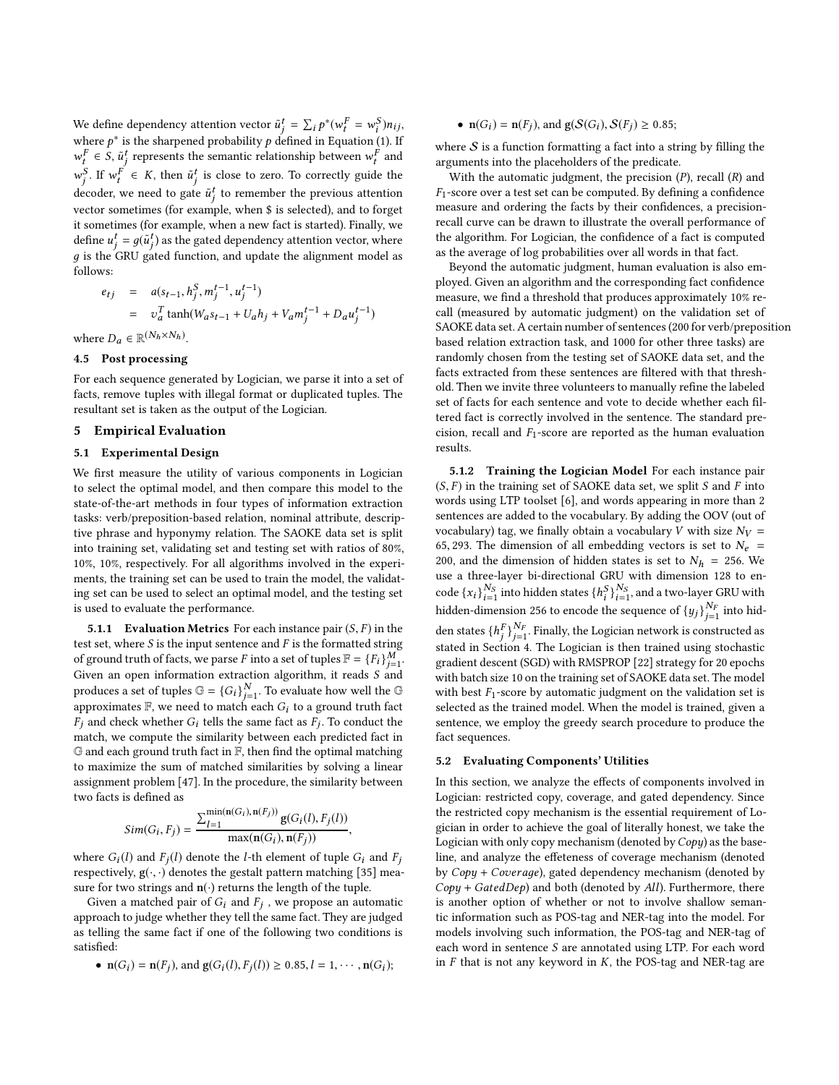We define dependency attention vector  $\tilde{u}_j^t = \sum_i p^*(w_t^F = w_i^S) n_{ij}$ , where  $p^*$  is the sharpened probability  $p$  defined in Equation [\(1\)](#page-3-1). If  $w_t^F \in S$ ,  $\tilde{u}_j^t$  represents the semantic relationship between  $w_t^F$  and  $w_j^S$ . If  $w_t^F \in K$ , then  $\tilde{u}_j^t$  is close to zero. To correctly guide the decoder, we need to gate  $\tilde{u}_j^t$  to remember the previous attention vector sometimes (for example, when \$ is selected), and to forget it sometimes (for example, when a new fact is started). Finally, we define  $u_j^t = g(\tilde{u}_j^t)$  as the gated dependency attention vector, where  $q$  is the GRU gated function, and update the alignment model as follows:

$$
e_{tj} = a(s_{t-1}, h_j^S, m_j^{t-1}, u_j^{t-1})
$$
  
=  $v_d^T \tanh(W_a s_{t-1} + U_a h_j + V_a m_j^{t-1} + D_a u_j^{t-1})$ 

where  $D_a \in \mathbb{R}^{(N_h \times N_h)}$ .

## 4.5 Post processing

For each sequence generated by Logician, we parse it into a set of facts, remove tuples with illegal format or duplicated tuples. The resultant set is taken as the output of the Logician.

## <span id="page-4-0"></span>5 Empirical Evaluation

## 5.1 Experimental Design

We first measure the utility of various components in Logician to select the optimal model, and then compare this model to the state-of-the-art methods in four types of information extraction tasks: verb/preposition-based relation, nominal attribute, descriptive phrase and hyponymy relation. The SAOKE data set is split into training set, validating set and testing set with ratios of 80%, 10%, 10%, respectively. For all algorithms involved in the experiments, the training set can be used to train the model, the validating set can be used to select an optimal model, and the testing set is used to evaluate the performance.

**5.1.1 Evaluation Metrics** For each instance pair  $(S, F)$  in the test set, where  $S$  is the input sentence and  $F$  is the formatted string of ground truth of facts, we parse F into a set of tuples  $\mathbb{F} = \{F_i\}_{j=1}^M$ . Given an open information extraction algorithm, it reads S and produces a set of tuples  $\mathbb{G} = \{G_i\}_{j=1}^N$ . To evaluate how well the  $\mathbb{G}$ approximates  $\mathbb F$ , we need to match each  $G_i$  to a ground truth fact  $F_j$  and check whether  $G_i$  tells the same fact as  $F_j$ . To conduct the match, we compute the similarity between each predicted fact in  $G$  and each ground truth fact in  $F$ , then find the optimal matching to maximize the sum of matched similarities by solving a linear assignment problem [\[47](#page-9-10)]. In the procedure, the similarity between two facts is defined as

$$
Sim(G_i, F_j) = \frac{\sum_{l=1}^{\min(n(G_i), n(F_j))} g(G_i(l), F_j(l))}{\max(n(G_i), n(F_j))},
$$

where  $G_i(l)$  and  $F_i(l)$  denote the *l*-th element of tuple  $G_i$  and  $F_i$ respectively,  $g(\cdot, \cdot)$  denotes the gestalt pattern matching [\[35\]](#page-9-11) measure for two strings and  $\mathbf{n}(\cdot)$  returns the length of the tuple.

Given a matched pair of  $G_i$  and  $F_j$ , we propose an automatic approach to judge whether they tell the same fact. They are judged as telling the same fact if one of the following two conditions is satisfied:

•  $n(G_i) = n(F_i)$ , and  $g(G_i(l), F_i(l)) \ge 0.85, l = 1, \dots, n(G_i)$ ;

## •  $n(G_i) = n(F_i)$ , and  $g(S(G_i), S(F_i) \ge 0.85)$ ;

where  $S$  is a function formatting a fact into a string by filling the arguments into the placeholders of the predicate.

With the automatic judgment, the precision  $(P)$ , recall  $(R)$  and  $F_1$ -score over a test set can be computed. By defining a confidence measure and ordering the facts by their confidences, a precisionrecall curve can be drawn to illustrate the overall performance of the algorithm. For Logician, the confidence of a fact is computed as the average of log probabilities over all words in that fact.

Beyond the automatic judgment, human evaluation is also employed. Given an algorithm and the corresponding fact confidence measure, we find a threshold that produces approximately 10% recall (measured by automatic judgment) on the validation set of SAOKE data set. A certain number of sentences (200 for verb/preposition based relation extraction task, and 1000 for other three tasks) are randomly chosen from the testing set of SAOKE data set, and the facts extracted from these sentences are filtered with that threshold. Then we invite three volunteers to manually refine the labeled set of facts for each sentence and vote to decide whether each filtered fact is correctly involved in the sentence. The standard precision, recall and  $F_1$ -score are reported as the human evaluation results.

5.1.2 Training the Logician Model For each instance pair  $(S, F)$  in the training set of SAOKE data set, we split S and F into words using LTP toolset [\[6\]](#page-8-18), and words appearing in more than 2 sentences are added to the vocabulary. By adding the OOV (out of vocabulary) tag, we finally obtain a vocabulary V with size  $N_V =$ 65, 293. The dimension of all embedding vectors is set to  $N_e$  = 200, and the dimension of hidden states is set to  $N_h$  = 256. We use a three-layer bi-directional GRU with dimension 128 to encode  $\{x_i\}_{i=1}^{N_S}$  into hidden states  $\{h^S_i\}_{i=1}^{N_S}$ , and a two-layer GRU with hidden-dimension 256 to encode the sequence of  $\{y_j\}_{j=1}^{N_F}$  into hidden states  $\{h_j^F\}_{j=1}^{N_F}.$  Finally, the Logician network is constructed as stated in Section [4.](#page-3-0) The Logician is then trained using stochastic gradient descent (SGD) with RMSPROP [\[22\]](#page-8-19) strategy for 20 epochs with batch size 10 on the training set of SAOKE data set. The model with best  $F_1$ -score by automatic judgment on the validation set is selected as the trained model. When the model is trained, given a sentence, we employ the greedy search procedure to produce the fact sequences.

#### 5.2 Evaluating Components' Utilities

In this section, we analyze the effects of components involved in Logician: restricted copy, coverage, and gated dependency. Since the restricted copy mechanism is the essential requirement of Logician in order to achieve the goal of literally honest, we take the Logician with only copy mechanism (denoted by  $Copy$ ) as the baseline, and analyze the effeteness of coverage mechanism (denoted by Copy + Coveraдe), gated dependency mechanism (denoted by  $Copy + GatedDep)$  and both (denoted by  $All$ ). Furthermore, there is another option of whether or not to involve shallow semantic information such as POS-tag and NER-tag into the model. For models involving such information, the POS-tag and NER-tag of each word in sentence S are annotated using LTP. For each word in  $F$  that is not any keyword in  $K$ , the POS-tag and NER-tag are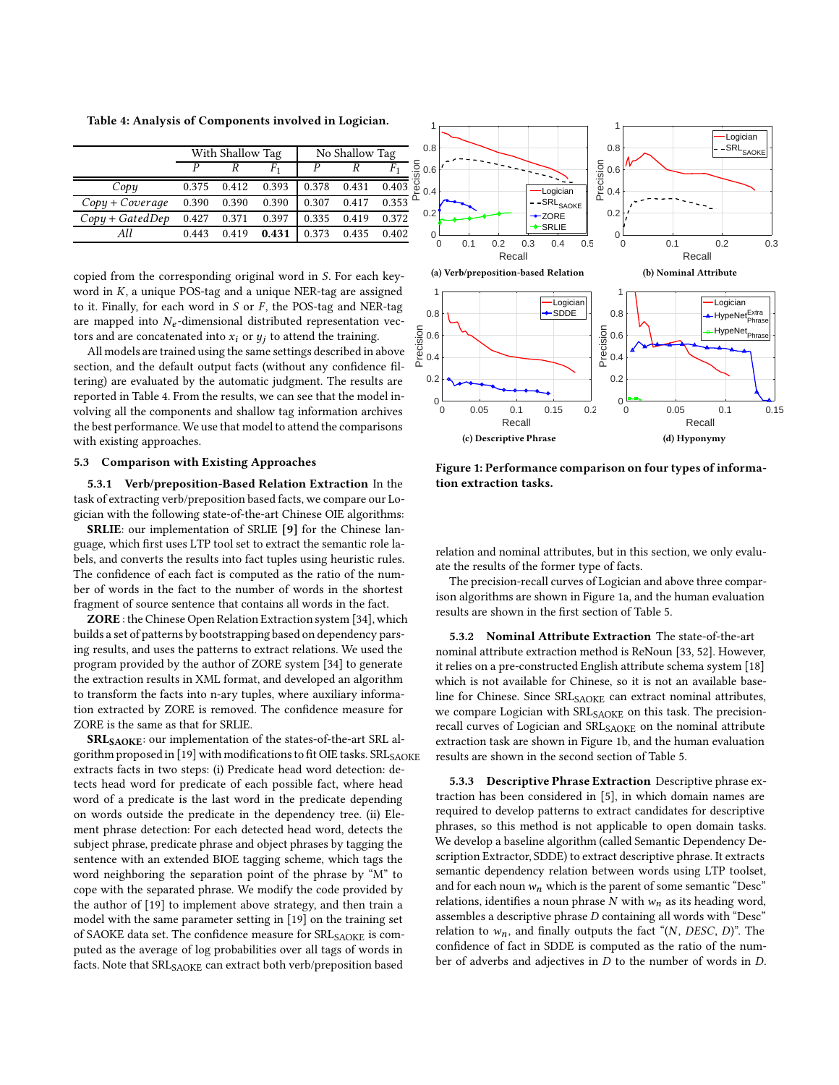<span id="page-5-0"></span>Table 4: Analysis of Components involved in Logician.

|                   | With Shallow Tag |       | No Shallow Tag |       |       |                   |
|-------------------|------------------|-------|----------------|-------|-------|-------------------|
|                   |                  |       | F1             |       |       | F1<br><u>໑ ດ</u>  |
| Copy              | 0.375            | 0.412 | 0.393          | 0.378 | 0.431 | e<br>e n<br>0.403 |
| $Copy + Coverage$ | 0.390            | 0.390 | 0.390          | 0.307 | 0.417 | 0.353             |
| $Copy + GatedDep$ | 0.427            | 0.371 | 0.397          | 0.335 | 0.419 | 0.372             |
| All               | 0.443            | 0.419 | 0.431          | 0.373 | 0.435 | 0.402             |

copied from the corresponding original word in S. For each keyword in K, a unique POS-tag and a unique NER-tag are assigned to it. Finally, for each word in  $S$  or  $F$ , the POS-tag and NER-tag are mapped into  $N_e$ -dimensional distributed representation vectors and are concatenated into  $x_i$  or  $y_j$  to attend the training.

All models are trained using the same settings described in above section, and the default output facts (without any confidence filtering) are evaluated by the automatic judgment. The results are reported in Table [4.](#page-5-0) From the results, we can see that the model involving all the components and shallow tag information archives the best performance. We use that model to attend the comparisons with existing approaches.

#### 5.3 Comparison with Existing Approaches

5.3.1 Verb/preposition-Based Relation Extraction In the task of extracting verb/preposition based facts, we compare our Logician with the following state-of-the-art Chinese OIE algorithms:

SRLIE: our implementation of SRLIE [\[9\]](#page-8-10) for the Chinese language, which first uses LTP tool set to extract the semantic role labels, and converts the results into fact tuples using heuristic rules. The confidence of each fact is computed as the ratio of the number of words in the fact to the number of words in the shortest fragment of source sentence that contains all words in the fact.

ZORE : the Chinese Open Relation Extraction system [\[34\]](#page-9-12), which builds a set of patterns by bootstrapping based on dependency parsing results, and uses the patterns to extract relations. We used the program provided by the author of ZORE system [\[34](#page-9-12)] to generate the extraction results in XML format, and developed an algorithm to transform the facts into n-ary tuples, where auxiliary information extracted by ZORE is removed. The confidence measure for ZORE is the same as that for SRLIE.

SRL<sub>SAOKE</sub>: our implementation of the states-of-the-art SRL al-gorithm proposed in [\[19\]](#page-8-20) with modifications to fit OIE tasks.  $SRL<sub>SAOKE</sub>$ extracts facts in two steps: (i) Predicate head word detection: detects head word for predicate of each possible fact, where head word of a predicate is the last word in the predicate depending on words outside the predicate in the dependency tree. (ii) Element phrase detection: For each detected head word, detects the subject phrase, predicate phrase and object phrases by tagging the sentence with an extended BIOE tagging scheme, which tags the word neighboring the separation point of the phrase by "M" to cope with the separated phrase. We modify the code provided by the author of [\[19](#page-8-20)] to implement above strategy, and then train a model with the same parameter setting in [\[19\]](#page-8-20) on the training set of SAOKE data set. The confidence measure for SRL<sub>SAOKE</sub> is computed as the average of log probabilities over all tags of words in facts. Note that SRL<sub>SAOKE</sub> can extract both verb/preposition based

<span id="page-5-2"></span><span id="page-5-1"></span>

<span id="page-5-4"></span><span id="page-5-3"></span>Figure 1: Performance comparison on four types of information extraction tasks.

relation and nominal attributes, but in this section, we only evaluate the results of the former type of facts.

The precision-recall curves of Logician and above three comparison algorithms are shown in Figure [1a,](#page-5-1) and the human evaluation results are shown in the first section of Table [5.](#page-6-1)

5.3.2 Nominal Attribute Extraction The state-of-the-art nominal attribute extraction method is ReNoun [\[33,](#page-9-5) [52](#page-9-6)]. However, it relies on a pre-constructed English attribute schema system [\[18](#page-8-21)] which is not available for Chinese, so it is not an available baseline for Chinese. Since SRL<sub>SAOKE</sub> can extract nominal attributes, we compare Logician with SRL<sub>SAOKE</sub> on this task. The precisionrecall curves of Logician and SRL<sub>SAOKE</sub> on the nominal attribute extraction task are shown in Figure [1b,](#page-5-2) and the human evaluation results are shown in the second section of Table [5.](#page-6-1)

5.3.3 Descriptive Phrase Extraction Descriptive phrase extraction has been considered in [\[5\]](#page-8-12), in which domain names are required to develop patterns to extract candidates for descriptive phrases, so this method is not applicable to open domain tasks. We develop a baseline algorithm (called Semantic Dependency Description Extractor, SDDE) to extract descriptive phrase. It extracts semantic dependency relation between words using LTP toolset, and for each noun  $w_n$  which is the parent of some semantic "Desc" relations, identifies a noun phrase  $N$  with  $w_n$  as its heading word, assembles a descriptive phrase D containing all words with "Desc" relation to  $w_n$ , and finally outputs the fact " $(N, DESC, D)$ ". The confidence of fact in SDDE is computed as the ratio of the number of adverbs and adjectives in D to the number of words in D.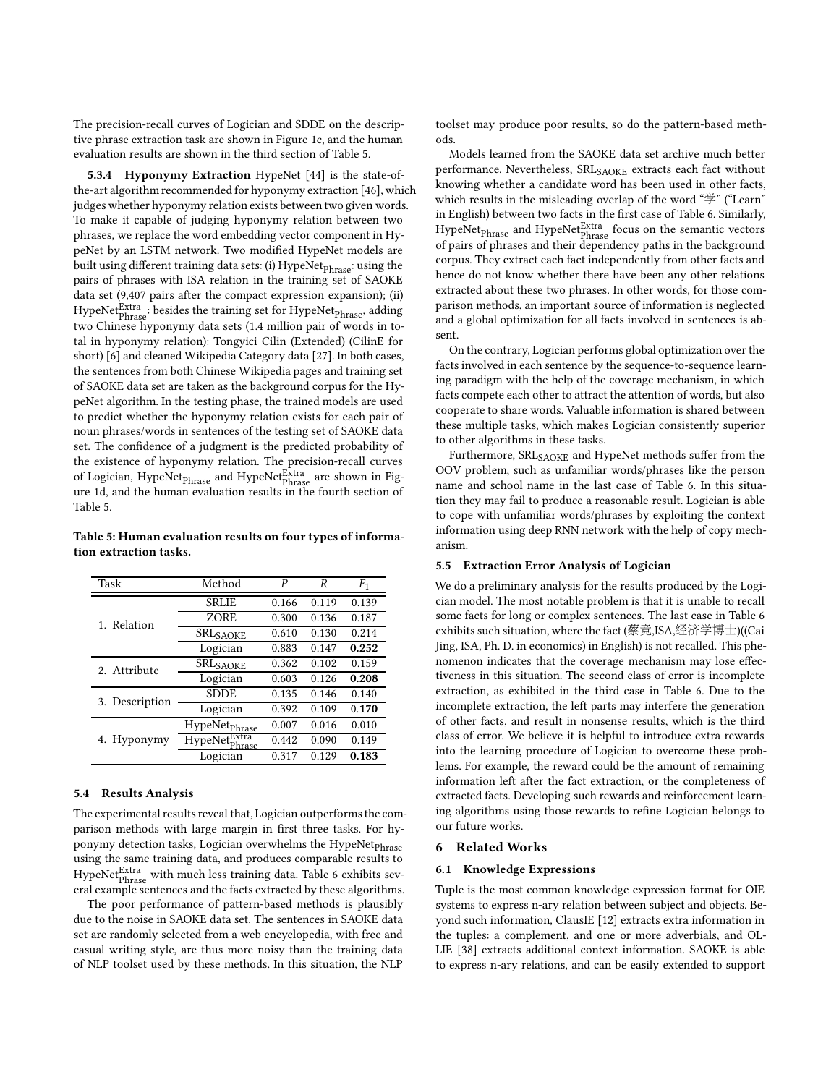The precision-recall curves of Logician and SDDE on the descriptive phrase extraction task are shown in Figure [1c,](#page-5-3) and the human evaluation results are shown in the third section of Table [5.](#page-6-1)

5.3.4 Hyponymy Extraction HypeNet [\[44](#page-9-7)] is the state-ofthe-art algorithm recommended for hyponymy extraction [\[46\]](#page-9-13), which judges whether hyponymy relation exists between two given words. To make it capable of judging hyponymy relation between two phrases, we replace the word embedding vector component in HypeNet by an LSTM network. Two modified HypeNet models are built using different training data sets: (i) HypeNet<sub>Phrase</sub>: using the pairs of phrases with ISA relation in the training set of SAOKE data set (9,407 pairs after the compact expression expansion); (ii) HypeNet $_{\rm Phrase}^{\rm Extra}$  : besides the training set for HypeNet $_{\rm Phrase}$ , adding two Chinese hyponymy data sets (1.4 million pair of words in total in hyponymy relation): Tongyici Cilin (Extended) (CilinE for short) [\[6\]](#page-8-18) and cleaned Wikipedia Category data [\[27](#page-8-22)]. In both cases, the sentences from both Chinese Wikipedia pages and training set of SAOKE data set are taken as the background corpus for the HypeNet algorithm. In the testing phase, the trained models are used to predict whether the hyponymy relation exists for each pair of noun phrases/words in sentences of the testing set of SAOKE data set. The confidence of a judgment is the predicted probability of the existence of hyponymy relation. The precision-recall curves of Logician, HypeNet<sub>Phrase</sub> and HypeNet<sup>Extra</sup> are shown in Figure [1d,](#page-5-4) and the human evaluation results in the fourth section of Table [5.](#page-6-1)

<span id="page-6-1"></span>Table 5: Human evaluation results on four types of information extraction tasks.

| Task           | Method                                            | P     | R     | F <sub>1</sub> |
|----------------|---------------------------------------------------|-------|-------|----------------|
|                | <b>SRLIE</b>                                      | 0.166 | 0.119 | 0.139          |
| 1. Relation    | <b>ZORE</b>                                       | 0.300 | 0.136 | 0.187          |
|                | <b>SRL<sub>SAOKE</sub></b>                        | 0.610 | 0.130 | 0.214          |
|                | Logician                                          | 0.883 | 0.147 | 0.252          |
| 2. Attribute   | <b>SRL<sub>SAOKE</sub></b>                        | 0.362 | 0.102 | 0.159          |
|                | Logician                                          | 0.603 | 0.126 | 0.208          |
| 3. Description | <b>SDDE</b>                                       | 0.135 | 0.146 | 0.140          |
|                | Logician                                          | 0.392 | 0.109 | 0.170          |
|                | HypeNet <sub>Phrase</sub>                         | 0.007 | 0.016 | 0.010          |
| 4. Hyponymy    | $HypeNet_{Dhms}^{Extra}$<br><sup>&gt;</sup> hrase | 0.442 | 0.090 | 0.149          |
|                | Logician                                          | 0.317 | 0.129 | 0.183          |

#### 5.4 Results Analysis

The experimental results reveal that, Logician outperforms the comparison methods with large margin in first three tasks. For hyponymy detection tasks, Logician overwhelms the HypeNet<sub>Phrase</sub> using the same training data, and produces comparable results to HypeNet $_{\rm Phrase}^{\rm Extra}$  with much less training data. Table [6](#page-7-0) exhibits several example sentences and the facts extracted by these algorithms.

The poor performance of pattern-based methods is plausibly due to the noise in SAOKE data set. The sentences in SAOKE data set are randomly selected from a web encyclopedia, with free and casual writing style, are thus more noisy than the training data of NLP toolset used by these methods. In this situation, the NLP

toolset may produce poor results, so do the pattern-based methods.

Models learned from the SAOKE data set archive much better performance. Nevertheless,  $SRL_{SANGE}$  extracts each fact without knowing whether a candidate word has been used in other facts, which results in the misleading overlap of the word "学" ("Learn" in English) between two facts in the first case of Table [6.](#page-7-0) Similarly, HypeNet<sub>Phrase</sub> and HypeNet<sup>Extra</sup> focus on the semantic vectors<br>of pairs of phrases and their dependency paths in the background corpus. They extract each fact independently from other facts and hence do not know whether there have been any other relations extracted about these two phrases. In other words, for those comparison methods, an important source of information is neglected and a global optimization for all facts involved in sentences is absent.

On the contrary, Logician performs global optimization over the facts involved in each sentence by the sequence-to-sequence learning paradigm with the help of the coverage mechanism, in which facts compete each other to attract the attention of words, but also cooperate to share words. Valuable information is shared between these multiple tasks, which makes Logician consistently superior to other algorithms in these tasks.

Furthermore, SRL<sub>SAOKE</sub> and HypeNet methods suffer from the OOV problem, such as unfamiliar words/phrases like the person name and school name in the last case of Table [6.](#page-7-0) In this situation they may fail to produce a reasonable result. Logician is able to cope with unfamiliar words/phrases by exploiting the context information using deep RNN network with the help of copy mechanism.

## 5.5 Extraction Error Analysis of Logician

We do a preliminary analysis for the results produced by the Logician model. The most notable problem is that it is unable to recall some facts for long or complex sentences. The last case in Table [6](#page-7-0) exhibits such situation, where the fact (蔡竞,ISA,经济学博士)((Cai Jing, ISA, Ph. D. in economics) in English) is not recalled. This phenomenon indicates that the coverage mechanism may lose effectiveness in this situation. The second class of error is incomplete extraction, as exhibited in the third case in Table [6.](#page-7-0) Due to the incomplete extraction, the left parts may interfere the generation of other facts, and result in nonsense results, which is the third class of error. We believe it is helpful to introduce extra rewards into the learning procedure of Logician to overcome these problems. For example, the reward could be the amount of remaining information left after the fact extraction, or the completeness of extracted facts. Developing such rewards and reinforcement learning algorithms using those rewards to refine Logician belongs to our future works.

## <span id="page-6-0"></span>6 Related Works

#### 6.1 Knowledge Expressions

Tuple is the most common knowledge expression format for OIE systems to express n-ary relation between subject and objects. Beyond such information, ClausIE [\[12\]](#page-8-23) extracts extra information in the tuples: a complement, and one or more adverbials, and OL-LIE [\[38](#page-9-2)] extracts additional context information. SAOKE is able to express n-ary relations, and can be easily extended to support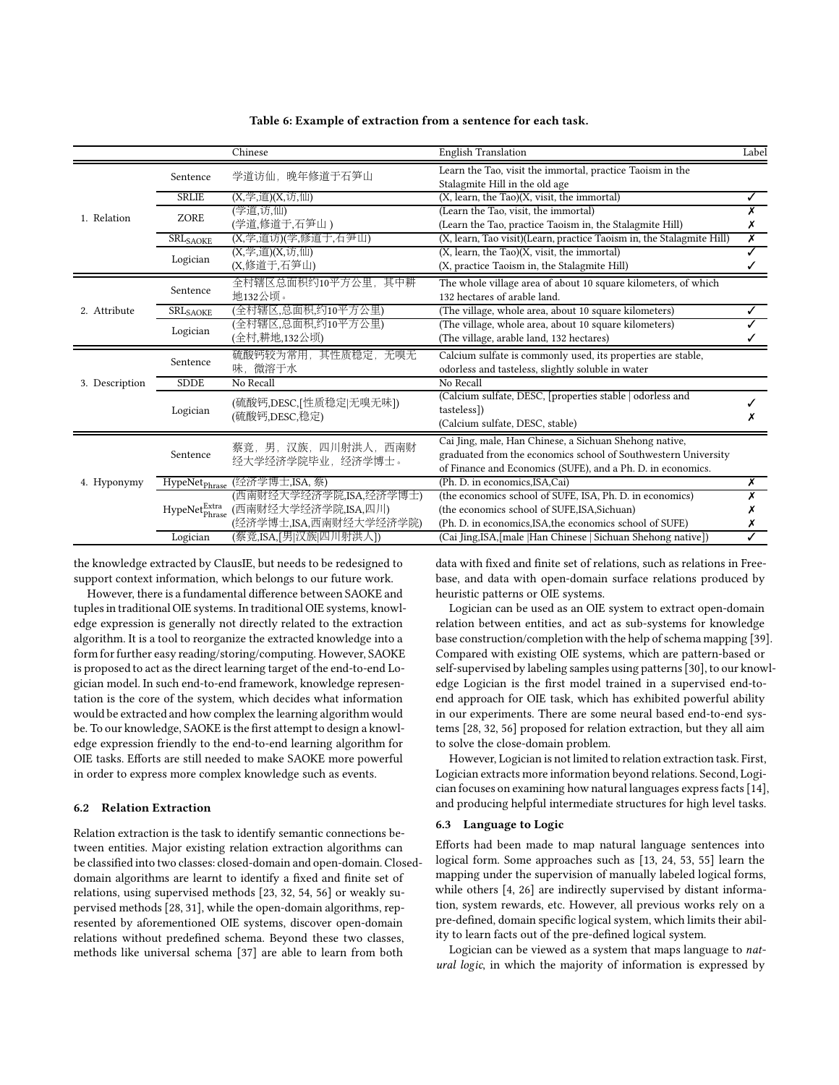<span id="page-7-0"></span>

|                |                                | Chinese                                   | <b>English Translation</b>                                             | Label |
|----------------|--------------------------------|-------------------------------------------|------------------------------------------------------------------------|-------|
|                |                                | 学道访仙, 晚年修道于石笋山                            | Learn the Tao, visit the immortal, practice Taoism in the              |       |
|                | Sentence                       |                                           | Stalagmite Hill in the old age                                         |       |
|                | <b>SRLIE</b>                   | (X,学,道)(X,访,仙)                            | (X, learn, the Tao)(X, visit, the immortal)                            |       |
| 1. Relation    | <b>ZORE</b>                    | (学道,访,仙)                                  | (Learn the Tao, visit, the immortal)                                   |       |
|                |                                | (学道,修道于,石笋山)                              | (Learn the Tao, practice Taoism in, the Stalagmite Hill)               |       |
|                | <b>SRL</b> SAOKE               | (X,学,道访)(学,修道于,石笋山)                       | (X, learn, Tao visit) (Learn, practice Taoism in, the Stalagmite Hill) | х     |
|                | Logician                       | (X,学,道)(X,访,仙)                            | (X, learn, the Tao)(X, visit, the immortal)                            |       |
|                |                                | (X,修道于,石笋山)                               | (X, practice Taoism in, the Stalagmite Hill)                           |       |
|                | Sentence                       | 全村辖区总面积约10平方公里,其中耕                        | The whole village area of about 10 square kilometers, of which         |       |
|                |                                | 地132公顷。                                   | 132 hectares of arable land.                                           |       |
| 2. Attribute   | SRLSAOKE                       | (全村辖区,总面积,约10平方公里)                        | (The village, whole area, about 10 square kilometers)                  |       |
|                | Logician                       | (全村辖区,总面积,约10平方公里)                        | (The village, whole area, about 10 square kilometers)                  |       |
|                |                                | (全村,耕地,132公顷)                             | (The village, arable land, 132 hectares)                               |       |
|                | Sentence                       | 硫酸钙较为常用,其性质稳定,无嗅无                         | Calcium sulfate is commonly used, its properties are stable,           |       |
|                |                                | 微溶于水<br>味.                                | odorless and tasteless, slightly soluble in water                      |       |
| 3. Description | <b>SDDE</b>                    | No Recall                                 | No Recall                                                              |       |
|                | Logician                       | (硫酸钙,DESC,[性质稳定 无嗅无味])                    | (Calcium sulfate, DESC, [properties stable   odorless and              |       |
|                |                                | (硫酸钙,DESC,稳定)                             | tasteless])                                                            |       |
|                |                                |                                           | (Calcium sulfate, DESC, stable)                                        |       |
|                | Sentence                       | 蔡竞, 男, 汉族, 四川射洪人, 西南财                     | Cai Jing, male, Han Chinese, a Sichuan Shehong native,                 |       |
|                |                                | 经大学经济学院毕业,经济学博士。                          | graduated from the economics school of Southwestern University         |       |
|                |                                |                                           | of Finance and Economics (SUFE), and a Ph. D. in economics.            |       |
| 4. Hyponymy    |                                | HypeNet <sub>Phrase</sub> (经济学博士, ISA, 蔡) | (Ph. D. in economics, ISA, Cai)                                        | Х     |
|                | $\rm HypeNet^{Extra}_{Phrase}$ | (西南财经大学经济学院,ISA,经济学博士)                    | (the economics school of SUFE, ISA, Ph. D. in economics)               |       |
|                |                                | (西南财经大学经济学院,ISA,四川)                       | (the economics school of SUFE, ISA, Sichuan)                           |       |
|                |                                | (经济学博士,ISA,西南财经大学经济学院)                    | (Ph. D. in economics, ISA, the economics school of SUFE)               | х     |
|                | Logician                       | (蔡竞,ISA,[男 汉族 四川射洪人])                     | (Cai Jing, ISA, [male   Han Chinese   Sichuan Shehong native])         |       |

Table 6: Example of extraction from a sentence for each task.

the knowledge extracted by ClausIE, but needs to be redesigned to support context information, which belongs to our future work.

However, there is a fundamental difference between SAOKE and tuples in traditional OIE systems. In traditional OIE systems, knowledge expression is generally not directly related to the extraction algorithm. It is a tool to reorganize the extracted knowledge into a form for further easy reading/storing/computing. However, SAOKE is proposed to act as the direct learning target of the end-to-end Logician model. In such end-to-end framework, knowledge representation is the core of the system, which decides what information would be extracted and how complex the learning algorithm would be. To our knowledge, SAOKE is the first attempt to design a knowledge expression friendly to the end-to-end learning algorithm for OIE tasks. Efforts are still needed to make SAOKE more powerful in order to express more complex knowledge such as events.

## 6.2 Relation Extraction

Relation extraction is the task to identify semantic connections between entities. Major existing relation extraction algorithms can be classified into two classes: closed-domain and open-domain. Closeddomain algorithms are learnt to identify a fixed and finite set of relations, using supervised methods [\[23,](#page-8-24) [32](#page-9-14), [54](#page-9-15), [56](#page-9-16)] or weakly supervised methods [\[28,](#page-8-25) [31\]](#page-8-0), while the open-domain algorithms, represented by aforementioned OIE systems, discover open-domain relations without predefined schema. Beyond these two classes, methods like universal schema [\[37\]](#page-9-17) are able to learn from both

data with fixed and finite set of relations, such as relations in Freebase, and data with open-domain surface relations produced by heuristic patterns or OIE systems.

Logician can be used as an OIE system to extract open-domain relation between entities, and act as sub-systems for knowledge base construction/completion with the help of schema mapping [\[39\]](#page-9-18). Compared with existing OIE systems, which are pattern-based or self-supervised by labeling samples using patterns [\[30](#page-8-9)], to our knowledge Logician is the first model trained in a supervised end-toend approach for OIE task, which has exhibited powerful ability in our experiments. There are some neural based end-to-end systems [\[28](#page-8-25), [32,](#page-9-14) [56](#page-9-16)] proposed for relation extraction, but they all aim to solve the close-domain problem.

However, Logician is not limited to relation extraction task. First, Logician extracts more information beyond relations. Second, Logician focuses on examining how natural languages express facts [\[14](#page-8-3)], and producing helpful intermediate structures for high level tasks.

#### 6.3 Language to Logic

Efforts had been made to map natural language sentences into logical form. Some approaches such as [\[13](#page-8-26), [24,](#page-8-27) [53,](#page-9-19) [55](#page-9-20)] learn the mapping under the supervision of manually labeled logical forms, while others [\[4](#page-8-28), [26](#page-8-29)] are indirectly supervised by distant information, system rewards, etc. However, all previous works rely on a pre-defined, domain specific logical system, which limits their ability to learn facts out of the pre-defined logical system.

Logician can be viewed as a system that maps language to *natural logic*, in which the majority of information is expressed by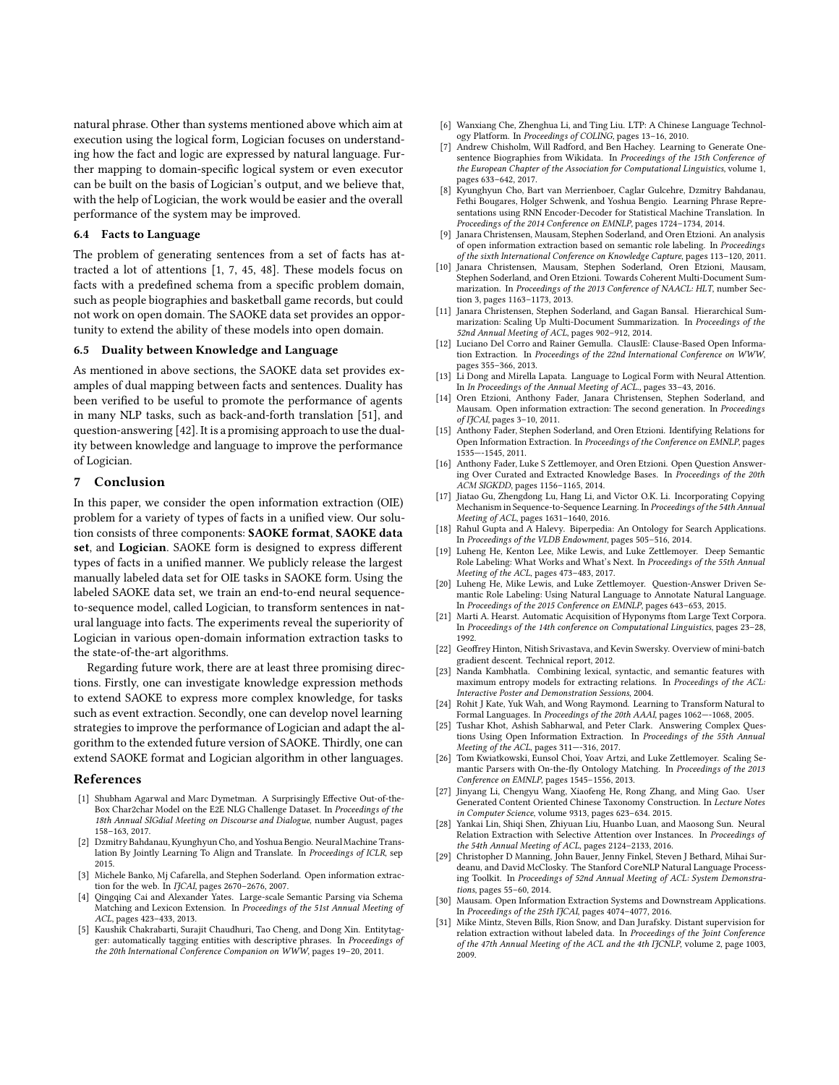natural phrase. Other than systems mentioned above which aim at execution using the logical form, Logician focuses on understanding how the fact and logic are expressed by natural language. Further mapping to domain-specific logical system or even executor can be built on the basis of Logician's output, and we believe that, with the help of Logician, the work would be easier and the overall performance of the system may be improved.

## 6.4 Facts to Language

The problem of generating sentences from a set of facts has attracted a lot of attentions [\[1,](#page-8-30) [7](#page-8-31), [45,](#page-9-21) [48\]](#page-9-22). These models focus on facts with a predefined schema from a specific problem domain, such as people biographies and basketball game records, but could not work on open domain. The SAOKE data set provides an opportunity to extend the ability of these models into open domain.

#### 6.5 Duality between Knowledge and Language

As mentioned in above sections, the SAOKE data set provides examples of dual mapping between facts and sentences. Duality has been verified to be useful to promote the performance of agents in many NLP tasks, such as back-and-forth translation [\[51\]](#page-9-23), and question-answering [\[42\]](#page-9-24). It is a promising approach to use the duality between knowledge and language to improve the performance of Logician.

## <span id="page-8-11"></span>7 Conclusion

In this paper, we consider the open information extraction (OIE) problem for a variety of types of facts in a unified view. Our solution consists of three components: SAOKE format, SAOKE data set, and Logician. SAOKE form is designed to express different types of facts in a unified manner. We publicly release the largest manually labeled data set for OIE tasks in SAOKE form. Using the labeled SAOKE data set, we train an end-to-end neural sequenceto-sequence model, called Logician, to transform sentences in natural language into facts. The experiments reveal the superiority of Logician in various open-domain information extraction tasks to the state-of-the-art algorithms.

Regarding future work, there are at least three promising directions. Firstly, one can investigate knowledge expression methods to extend SAOKE to express more complex knowledge, for tasks such as event extraction. Secondly, one can develop novel learning strategies to improve the performance of Logician and adapt the algorithm to the extended future version of SAOKE. Thirdly, one can extend SAOKE format and Logician algorithm in other languages.

#### References

- <span id="page-8-30"></span>[1] Shubham Agarwal and Marc Dymetman. A Surprisingly Effective Out-of-the-Box Char2char Model on the E2E NLG Challenge Dataset. In *Proceedings of the 18th Annual SIGdial Meeting on Discourse and Dialogue*, number August, pages 158–163, 2017.
- <span id="page-8-14"></span>[2] Dzmitry Bahdanau, Kyunghyun Cho, and Yoshua Bengio. NeuralMachine Translation By Jointly Learning To Align and Translate. In *Proceedings of ICLR*, sep 2015.
- <span id="page-8-2"></span>[3] Michele Banko, Mj Cafarella, and Stephen Soderland. Open information extraction for the web. In *IJCAI*, pages 2670–2676, 2007.
- <span id="page-8-28"></span>[4] Qingqing Cai and Alexander Yates. Large-scale Semantic Parsing via Schema Matching and Lexicon Extension. In *Proceedings of the 51st Annual Meeting of ACL*, pages 423–433, 2013.
- <span id="page-8-12"></span>[5] Kaushik Chakrabarti, Surajit Chaudhuri, Tao Cheng, and Dong Xin. Entitytagger: automatically tagging entities with descriptive phrases. In *Proceedings of the 20th International Conference Companion on WWW*, pages 19–20, 2011.
- <span id="page-8-18"></span>[6] Wanxiang Che, Zhenghua Li, and Ting Liu. LTP: A Chinese Language Technology Platform. In *Proceedings of COLING*, pages 13–16, 2010.
- <span id="page-8-31"></span>[7] Andrew Chisholm, Will Radford, and Ben Hachey. Learning to Generate Onesentence Biographies from Wikidata. In *Proceedings of the 15th Conference of the European Chapter of the Association for Computational Linguistics*, volume 1, pages 633–642, 2017.
- <span id="page-8-15"></span>[8] Kyunghyun Cho, Bart van Merrienboer, Caglar Gulcehre, Dzmitry Bahdanau, Fethi Bougares, Holger Schwenk, and Yoshua Bengio. Learning Phrase Representations using RNN Encoder-Decoder for Statistical Machine Translation. In *Proceedings of the 2014 Conference on EMNLP*, pages 1724–1734, 2014.
- <span id="page-8-10"></span>[9] Janara Christensen, Mausam, Stephen Soderland, and Oren Etzioni. An analysis of open information extraction based on semantic role labeling. In *Proceedings of the sixth International Conference on Knowledge Capture*, pages 113–120, 2011.
- <span id="page-8-7"></span>[10] Janara Christensen, Mausam, Stephen Soderland, Oren Etzioni, Mausam, Stephen Soderland, and Oren Etzioni. Towards Coherent Multi-Document Summarization. In *Proceedings of the 2013 Conference of NAACL: HLT*, number Section 3, pages 1163–1173, 2013.
- <span id="page-8-8"></span>[11] Janara Christensen, Stephen Soderland, and Gagan Bansal. Hierarchical Summarization: Scaling Up Multi-Document Summarization. In *Proceedings of the 52nd Annual Meeting of ACL*, pages 902–912, 2014.
- <span id="page-8-23"></span>[12] Luciano Del Corro and Rainer Gemulla. ClausIE: Clause-Based Open Information Extraction. In *Proceedings of the 22nd International Conference on WWW*, pages 355–366, 2013.
- <span id="page-8-26"></span>[13] Li Dong and Mirella Lapata. Language to Logical Form with Neural Attention. In *In Proceedings of the Annual Meeting of ACL.*, pages 33–43, 2016.
- <span id="page-8-3"></span>[14] Oren Etzioni, Anthony Fader, Janara Christensen, Stephen Soderland, and Mausam. Open information extraction: The second generation. In *Proceedings of IJCAI*, pages 3–10, 2011.
- <span id="page-8-4"></span>[15] Anthony Fader, Stephen Soderland, and Oren Etzioni. Identifying Relations for Open Information Extraction. In *Proceedings of the Conference on EMNLP*, pages 1535—-1545, 2011.
- <span id="page-8-5"></span>[16] Anthony Fader, Luke S Zettlemoyer, and Oren Etzioni. Open Question Answering Over Curated and Extracted Knowledge Bases. In *Proceedings of the 20th ACM SIGKDD*, pages 1156–1165, 2014.
- <span id="page-8-16"></span>[17] Jiatao Gu, Zhengdong Lu, Hang Li, and Victor O.K. Li. Incorporating Copying Mechanism in Sequence-to-Sequence Learning. In *Proceedings of the 54th Annual Meeting of ACL*, pages 1631–1640, 2016.
- <span id="page-8-21"></span>[18] Rahul Gupta and A Halevy. Biperpedia: An Ontology for Search Applications. In *Proceedings of the VLDB Endowment*, pages 505–516, 2014.
- <span id="page-8-20"></span>[19] Luheng He, Kenton Lee, Mike Lewis, and Luke Zettlemoyer. Deep Semantic Role Labeling: What Works and What's Next. In *Proceedings of the 55th Annual Meeting of the ACL*, pages 473–483, 2017.
- <span id="page-8-13"></span>[20] Luheng He, Mike Lewis, and Luke Zettlemoyer. Question-Answer Driven Semantic Role Labeling: Using Natural Language to Annotate Natural Language. In *Proceedings of the 2015 Conference on EMNLP*, pages 643–653, 2015.
- <span id="page-8-1"></span>[21] Marti A. Hearst. Automatic Acquisition of Hyponyms ftom Large Text Corpora. In *Proceedings of the 14th conference on Computational Linguistics*, pages 23–28, 1992.
- <span id="page-8-19"></span>[22] Geoffrey Hinton, Nitish Srivastava, and Kevin Swersky. Overview of mini-batch gradient descent. Technical report, 2012.
- <span id="page-8-24"></span>[23] Nanda Kambhatla. Combining lexical, syntactic, and semantic features with maximum entropy models for extracting relations. In *Proceedings of the ACL: Interactive Poster and Demonstration Sessions*, 2004.
- <span id="page-8-27"></span>[24] Rohit J Kate, Yuk Wah, and Wong Raymond. Learning to Transform Natural to Formal Languages. In *Proceedings of the 20th AAAI*, pages 1062—-1068, 2005.
- <span id="page-8-6"></span>[25] Tushar Khot, Ashish Sabharwal, and Peter Clark. Answering Complex Questions Using Open Information Extraction. In *Proceedings of the 55th Annual Meeting of the ACL*, pages 311—-316, 2017.
- <span id="page-8-29"></span>[26] Tom Kwiatkowski, Eunsol Choi, Yoav Artzi, and Luke Zettlemoyer. Scaling Semantic Parsers with On-the-fly Ontology Matching. In *Proceedings of the 2013 Conference on EMNLP*, pages 1545–1556, 2013.
- <span id="page-8-22"></span>[27] Jinyang Li, Chengyu Wang, Xiaofeng He, Rong Zhang, and Ming Gao. User Generated Content Oriented Chinese Taxonomy Construction. In *Lecture Notes in Computer Science*, volume 9313, pages 623–634. 2015.
- <span id="page-8-25"></span>[28] Yankai Lin, Shiqi Shen, Zhiyuan Liu, Huanbo Luan, and Maosong Sun. Neural Relation Extraction with Selective Attention over Instances. In *Proceedings of the 54th Annual Meeting of ACL*, pages 2124–2133, 2016.
- <span id="page-8-17"></span>[29] Christopher D Manning, John Bauer, Jenny Finkel, Steven J Bethard, Mihai Surdeanu, and David McClosky. The Stanford CoreNLP Natural Language Processing Toolkit. In *Proceedings of 52nd Annual Meeting of ACL: System Demonstrations*, pages 55–60, 2014.
- <span id="page-8-9"></span>[30] Mausam. Open Information Extraction Systems and Downstream Applications. In *Proceedings of the 25th IJCAI*, pages 4074–4077, 2016.
- <span id="page-8-0"></span>[31] Mike Mintz, Steven Bills, Rion Snow, and Dan Jurafsky. Distant supervision for relation extraction without labeled data. In *Proceedings of the Joint Conference of the 47th Annual Meeting of the ACL and the 4th IJCNLP*, volume 2, page 1003, 2009.